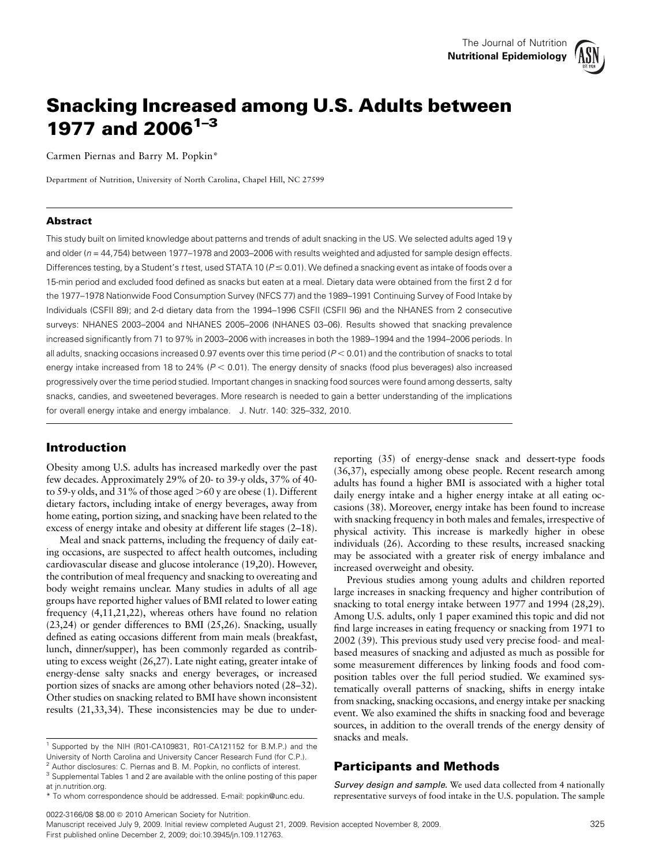

# Snacking Increased among U.S. Adults between 1977 and 2006<sup>1-3</sup>

Carmen Piernas and Barry M. Popkin\*

Department of Nutrition, University of North Carolina, Chapel Hill, NC 27599

#### Abstract

This study built on limited knowledge about patterns and trends of adult snacking in the US. We selected adults aged 19 y and older ( $n = 44,754$ ) between 1977–1978 and 2003–2006 with results weighted and adjusted for sample design effects. Differences testing, by a Student's t test, used STATA 10 ( $P \le 0.01$ ). We defined a snacking event as intake of foods over a 15-min period and excluded food defined as snacks but eaten at a meal. Dietary data were obtained from the first 2 d for the 1977–1978 Nationwide Food Consumption Survey (NFCS 77) and the 1989–1991 Continuing Survey of Food Intake by Individuals (CSFII 89); and 2-d dietary data from the 1994–1996 CSFII (CSFII 96) and the NHANES from 2 consecutive surveys: NHANES 2003–2004 and NHANES 2005–2006 (NHANES 03–06). Results showed that snacking prevalence increased significantly from 71 to 97% in 2003–2006 with increases in both the 1989–1994 and the 1994–2006 periods. In all adults, snacking occasions increased 0.97 events over this time period ( $P < 0.01$ ) and the contribution of snacks to total energy intake increased from 18 to 24% ( $P < 0.01$ ). The energy density of snacks (food plus beverages) also increased progressively over the time period studied. Important changes in snacking food sources were found among desserts, salty snacks, candies, and sweetened beverages. More research is needed to gain a better understanding of the implications for overall energy intake and energy imbalance. J. Nutr. 140: 325–332, 2010.

# Introduction

Obesity among U.S. adults has increased markedly over the past few decades. Approximately 29% of 20- to 39-y olds, 37% of 40 to 59-y olds, and 31% of those aged  $>60$  y are obese (1). Different dietary factors, including intake of energy beverages, away from home eating, portion sizing, and snacking have been related to the excess of energy intake and obesity at different life stages (2–18).

Meal and snack patterns, including the frequency of daily eating occasions, are suspected to affect health outcomes, including cardiovascular disease and glucose intolerance (19,20). However, the contribution of meal frequency and snacking to overeating and body weight remains unclear. Many studies in adults of all age groups have reported higher values of BMI related to lower eating frequency (4,11,21,22), whereas others have found no relation (23,24) or gender differences to BMI (25,26). Snacking, usually defined as eating occasions different from main meals (breakfast, lunch, dinner/supper), has been commonly regarded as contributing to excess weight (26,27). Late night eating, greater intake of energy-dense salty snacks and energy beverages, or increased portion sizes of snacks are among other behaviors noted (28–32). Other studies on snacking related to BMI have shown inconsistent results (21,33,34). These inconsistencies may be due to underreporting (35) of energy-dense snack and dessert-type foods (36,37), especially among obese people. Recent research among adults has found a higher BMI is associated with a higher total daily energy intake and a higher energy intake at all eating occasions (38). Moreover, energy intake has been found to increase with snacking frequency in both males and females, irrespective of physical activity. This increase is markedly higher in obese individuals (26). According to these results, increased snacking may be associated with a greater risk of energy imbalance and increased overweight and obesity.

Previous studies among young adults and children reported large increases in snacking frequency and higher contribution of snacking to total energy intake between 1977 and 1994 (28,29). Among U.S. adults, only 1 paper examined this topic and did not find large increases in eating frequency or snacking from 1971 to 2002 (39). This previous study used very precise food- and mealbased measures of snacking and adjusted as much as possible for some measurement differences by linking foods and food composition tables over the full period studied. We examined systematically overall patterns of snacking, shifts in energy intake from snacking, snacking occasions, and energy intake per snacking event. We also examined the shifts in snacking food and beverage sources, in addition to the overall trends of the energy density of snacks and meals.

## Participants and Methods

Survey design and sample. We used data collected from 4 nationally representative surveys of food intake in the U.S. population. The sample

0022-3166/08 \$8.00 @ 2010 American Society for Nutrition.

Manuscript received July 9, 2009. Initial review completed August 21, 2009. Revision accepted November 8, 2009. 325 First published online December 2, 2009; doi:10.3945/jn.109.112763.

<sup>1</sup> Supported by the NIH (R01-CA109831, R01-CA121152 for B.M.P.) and the University of North Carolina and University Cancer Research Fund (for C.P.). Author disclosures: C. Piernas and B. M. Popkin, no conflicts of interest.

 $3$  Supplemental Tables 1 and 2 are available with the online posting of this paper at jn.nutrition.org.

<sup>\*</sup> To whom correspondence should be addressed. E-mail: popkin@unc.edu.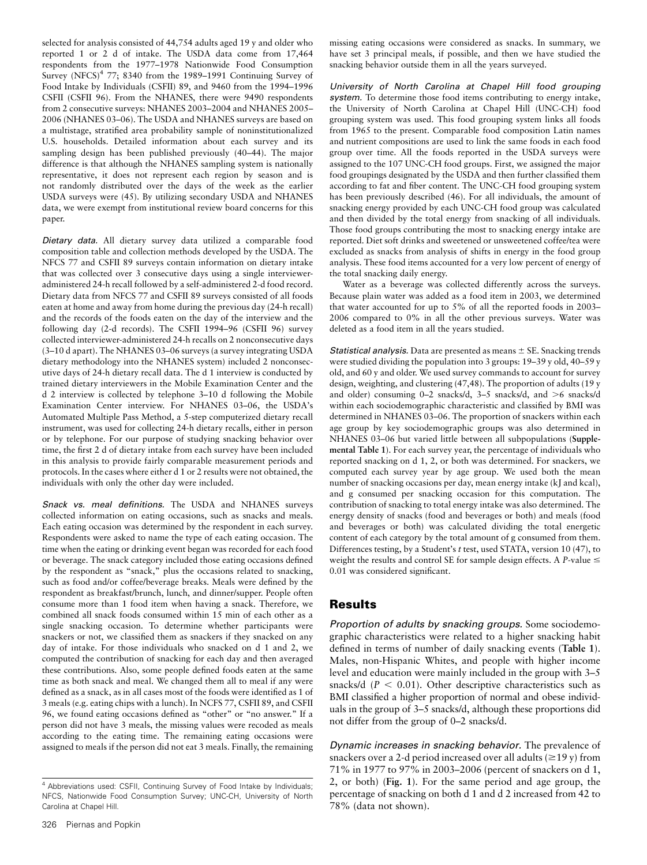selected for analysis consisted of 44,754 adults aged 19 y and older who reported 1 or 2 d of intake. The USDA data come from 17,464 respondents from the 1977–1978 Nationwide Food Consumption Survey (NFCS) $<sup>4</sup>$  77; 8340 from the 1989–1991 Continuing Survey of</sup> Food Intake by Individuals (CSFII) 89, and 9460 from the 1994–1996 CSFII (CSFII 96). From the NHANES, there were 9490 respondents from 2 consecutive surveys: NHANES 2003–2004 and NHANES 2005– 2006 (NHANES 03–06). The USDA and NHANES surveys are based on a multistage, stratified area probability sample of noninstitutionalized U.S. households. Detailed information about each survey and its sampling design has been published previously (40–44). The major difference is that although the NHANES sampling system is nationally representative, it does not represent each region by season and is not randomly distributed over the days of the week as the earlier USDA surveys were (45). By utilizing secondary USDA and NHANES data, we were exempt from institutional review board concerns for this paper.

Dietary data. All dietary survey data utilized a comparable food composition table and collection methods developed by the USDA. The NFCS 77 and CSFII 89 surveys contain information on dietary intake that was collected over 3 consecutive days using a single intervieweradministered 24-h recall followed by a self-administered 2-d food record. Dietary data from NFCS 77 and CSFII 89 surveys consisted of all foods eaten at home and away from home during the previous day (24-h recall) and the records of the foods eaten on the day of the interview and the following day (2-d records). The CSFII 1994–96 (CSFII 96) survey collected interviewer-administered 24-h recalls on 2 nonconsecutive days (3–10 d apart). The NHANES 03–06 surveys (a survey integrating USDA dietary methodology into the NHANES system) included 2 nonconsecutive days of 24-h dietary recall data. The d 1 interview is conducted by trained dietary interviewers in the Mobile Examination Center and the d 2 interview is collected by telephone 3–10 d following the Mobile Examination Center interview. For NHANES 03–06, the USDA's Automated Multiple Pass Method, a 5-step computerized dietary recall instrument, was used for collecting 24-h dietary recalls, either in person or by telephone. For our purpose of studying snacking behavior over time, the first 2 d of dietary intake from each survey have been included in this analysis to provide fairly comparable measurement periods and protocols. In the cases where either d 1 or 2 results were not obtained, the individuals with only the other day were included.

Snack vs. meal definitions. The USDA and NHANES surveys collected information on eating occasions, such as snacks and meals. Each eating occasion was determined by the respondent in each survey. Respondents were asked to name the type of each eating occasion. The time when the eating or drinking event began was recorded for each food or beverage. The snack category included those eating occasions defined by the respondent as "snack," plus the occasions related to snacking, such as food and/or coffee/beverage breaks. Meals were defined by the respondent as breakfast/brunch, lunch, and dinner/supper. People often consume more than 1 food item when having a snack. Therefore, we combined all snack foods consumed within 15 min of each other as a single snacking occasion. To determine whether participants were snackers or not, we classified them as snackers if they snacked on any day of intake. For those individuals who snacked on d 1 and 2, we computed the contribution of snacking for each day and then averaged these contributions. Also, some people defined foods eaten at the same time as both snack and meal. We changed them all to meal if any were defined as a snack, as in all cases most of the foods were identified as 1 of 3 meals (e.g. eating chips with a lunch). In NCFS 77, CSFII 89, and CSFII 96, we found eating occasions defined as "other" or "no answer." If a person did not have 3 meals, the missing values were recoded as meals according to the eating time. The remaining eating occasions were assigned to meals if the person did not eat 3 meals. Finally, the remaining

missing eating occasions were considered as snacks. In summary, we have set 3 principal meals, if possible, and then we have studied the snacking behavior outside them in all the years surveyed.

University of North Carolina at Chapel Hill food grouping system. To determine those food items contributing to energy intake, the University of North Carolina at Chapel Hill (UNC-CH) food grouping system was used. This food grouping system links all foods from 1965 to the present. Comparable food composition Latin names and nutrient compositions are used to link the same foods in each food group over time. All the foods reported in the USDA surveys were assigned to the 107 UNC-CH food groups. First, we assigned the major food groupings designated by the USDA and then further classified them according to fat and fiber content. The UNC-CH food grouping system has been previously described (46). For all individuals, the amount of snacking energy provided by each UNC-CH food group was calculated and then divided by the total energy from snacking of all individuals. Those food groups contributing the most to snacking energy intake are reported. Diet soft drinks and sweetened or unsweetened coffee/tea were excluded as snacks from analysis of shifts in energy in the food group analysis. These food items accounted for a very low percent of energy of the total snacking daily energy.

Water as a beverage was collected differently across the surveys. Because plain water was added as a food item in 2003, we determined that water accounted for up to 5% of all the reported foods in 2003– 2006 compared to 0% in all the other previous surveys. Water was deleted as a food item in all the years studied.

**Statistical analysis.** Data are presented as means  $\pm$  SE. Snacking trends were studied dividing the population into 3 groups: 19–39 y old, 40–59 y old, and 60 y and older. We used survey commands to account for survey design, weighting, and clustering (47,48). The proportion of adults (19 y and older) consuming  $0-2$  snacks/d,  $3-5$  snacks/d, and  $\geq 6$  snacks/d within each sociodemographic characteristic and classified by BMI was determined in NHANES 03–06. The proportion of snackers within each age group by key sociodemographic groups was also determined in NHANES 03–06 but varied little between all subpopulations (Supplemental Table 1). For each survey year, the percentage of individuals who reported snacking on d 1, 2, or both was determined. For snackers, we computed each survey year by age group. We used both the mean number of snacking occasions per day, mean energy intake (kJ and kcal), and g consumed per snacking occasion for this computation. The contribution of snacking to total energy intake was also determined. The energy density of snacks (food and beverages or both) and meals (food and beverages or both) was calculated dividing the total energetic content of each category by the total amount of g consumed from them. Differences testing, by a Student's t test, used STATA, version 10 (47), to weight the results and control SE for sample design effects. A P-value  $\leq$ 0.01 was considered significant.

## Results

Proportion of adults by snacking groups. Some sociodemographic characteristics were related to a higher snacking habit defined in terms of number of daily snacking events (Table 1). Males, non-Hispanic Whites, and people with higher income level and education were mainly included in the group with 3–5 snacks/d ( $P < 0.01$ ). Other descriptive characteristics such as BMI classified a higher proportion of normal and obese individuals in the group of 3–5 snacks/d, although these proportions did not differ from the group of 0–2 snacks/d.

Dynamic increases in snacking behavior. The prevalence of snackers over a 2-d period increased over all adults  $(\geq 19 \text{ y})$  from 71% in 1977 to 97% in 2003–2006 (percent of snackers on d 1, 2, or both) (Fig. 1). For the same period and age group, the percentage of snacking on both d 1 and d 2 increased from 42 to 78% (data not shown).

<sup>4</sup> Abbreviations used: CSFII, Continuing Survey of Food Intake by Individuals; NFCS, Nationwide Food Consumption Survey; UNC-CH, University of North Carolina at Chapel Hill.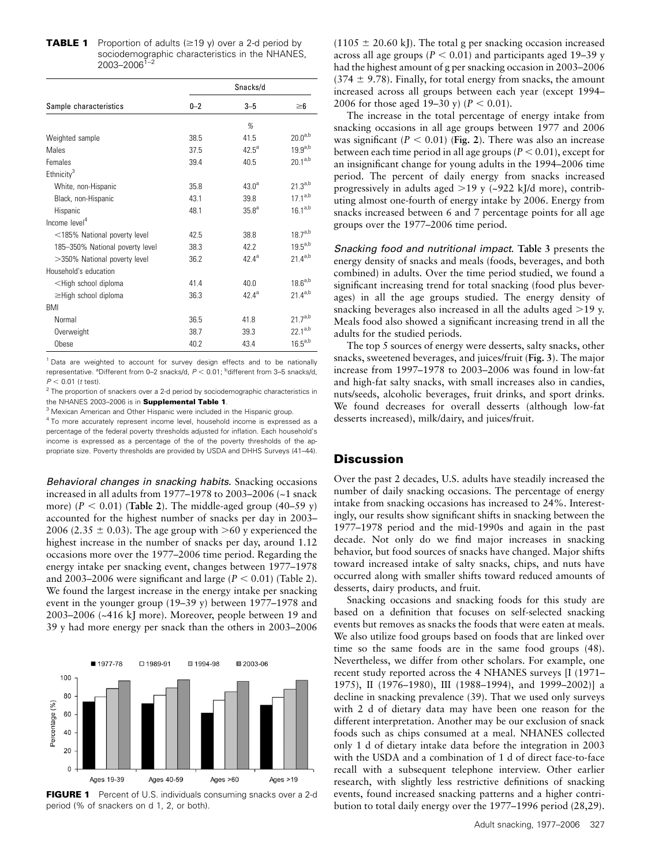| <b>TABLE 1</b> Proportion of adults $(\geq 19 \text{ y})$ over a 2-d period by |
|--------------------------------------------------------------------------------|
| sociodemographic characteristics in the NHANES,                                |
| $2003 - 2006$ <sup>1-2</sup>                                                   |

|                                                                                                     | Snacks/d |                   |              |
|-----------------------------------------------------------------------------------------------------|----------|-------------------|--------------|
| Sample characteristics                                                                              | $0 - 2$  | $3 - 5$           | $\geq 6$     |
|                                                                                                     |          | %                 |              |
| Weighted sample                                                                                     | 38.5     | 41.5              | $20.0^{a,b}$ |
| Males                                                                                               | 37.5     | $42.5^{\circ}$    | $19.9^{a,b}$ |
| Females                                                                                             | 39.4     | 40.5              | $20.1^{a,b}$ |
| Ethnicity <sup>3</sup>                                                                              |          |                   |              |
| White, non-Hispanic                                                                                 | 35.8     | $43.0^a$          | $21.3^{a,b}$ |
| Black, non-Hispanic                                                                                 | 43.1     | 39.8              | $17.1^{a,b}$ |
| Hispanic                                                                                            | 48.1     | 35.8 <sup>a</sup> | $16.1^{a,b}$ |
| Income level <sup>4</sup>                                                                           |          |                   |              |
| <185% National poverty level                                                                        | 42.5     | 38.8              | $18.7^{a,b}$ |
| 185-350% National poverty level                                                                     | 38.3     | 42.2              | $19.5^{a,b}$ |
| >350% National poverty level                                                                        | 36.2     | $42.4^a$          | $21.4^{a,b}$ |
| Household's education                                                                               |          |                   |              |
| <high diploma<="" school="" td=""><td>41.4</td><td>40.0</td><td><math>18.6^{a,b}</math></td></high> | 41.4     | 40.0              | $18.6^{a,b}$ |
| ≥High school diploma                                                                                | 36.3     | $42.4^a$          | $21.4^{a,b}$ |
| <b>BMI</b>                                                                                          |          |                   |              |
| Normal                                                                                              | 36.5     | 41.8              | $21.7^{a,b}$ |
| Overweight                                                                                          | 38.7     | 39.3              | $22.1^{a,b}$ |
| Obese                                                                                               | 40.2     | 43.4              | $16.5^{a,b}$ |

<sup>1</sup> Data are weighted to account for survey design effects and to be nationally representative. <sup>a</sup>Different from 0-2 snacks/d,  $P$  < 0.01; <sup>b</sup>different from 3-5 snacks/d,  $P < 0.01$  (t test).

<sup>2</sup> The proportion of snackers over a 2-d period by sociodemographic characteristics in the NHANES 2003-2006 is in Supplemental Table 1.

<sup>3</sup> Mexican American and Other Hispanic were included in the Hispanic group.

<sup>4</sup> To more accurately represent income level, household income is expressed as a percentage of the federal poverty thresholds adjusted for inflation. Each household's income is expressed as a percentage of the of the poverty thresholds of the appropriate size. Poverty thresholds are provided by USDA and DHHS Surveys (41–44).

Behavioral changes in snacking habits. Snacking occasions increased in all adults from 1977–1978 to 2003–2006 (~1 snack more) ( $P < 0.01$ ) (Table 2). The middle-aged group (40–59 y) accounted for the highest number of snacks per day in 2003– 2006 (2.35  $\pm$  0.03). The age group with  $>60$  y experienced the highest increase in the number of snacks per day, around  $1.12$ occasions more over the 1977–2006 time period. Regarding the energy intake per snacking event, changes between 1977–1978 and 2003–2006 were significant and large ( $P < 0.01$ ) (Table 2). We found the largest increase in the energy intake per snacking event in the younger group (19–39 y) between 1977–1978 and 2003–2006 (~416 kJ more). Moreover, people between 19 and 39 y had more energy per snack than the others in 2003–2006



**FIGURE 1** Percent of U.S. individuals consuming snacks over a 2-d period (% of snackers on d 1, 2, or both).

 $(1105 \pm 20.60 \text{ k})$ . The total g per snacking occasion increased across all age groups ( $P < 0.01$ ) and participants aged 19–39 y had the highest amount of g per snacking occasion in 2003–2006  $(374 \pm 9.78)$ . Finally, for total energy from snacks, the amount increased across all groups between each year (except 1994– 2006 for those aged 19–30 y) ( $P < 0.01$ ).

The increase in the total percentage of energy intake from snacking occasions in all age groups between 1977 and 2006 was significant ( $P < 0.01$ ) (Fig. 2). There was also an increase between each time period in all age groups ( $P < 0.01$ ), except for an insignificant change for young adults in the 1994–2006 time period. The percent of daily energy from snacks increased progressively in adults aged  $>19$  y ( $\sim$ 922 kJ/d more), contributing almost one-fourth of energy intake by 2006. Energy from snacks increased between 6 and 7 percentage points for all age groups over the 1977–2006 time period.

Snacking food and nutritional impact. Table 3 presents the energy density of snacks and meals (foods, beverages, and both combined) in adults. Over the time period studied, we found a significant increasing trend for total snacking (food plus beverages) in all the age groups studied. The energy density of snacking beverages also increased in all the adults aged  $>19$  y. Meals food also showed a significant increasing trend in all the adults for the studied periods.

The top 5 sources of energy were desserts, salty snacks, other snacks, sweetened beverages, and juices/fruit (Fig. 3). The major increase from 1997–1978 to 2003–2006 was found in low-fat and high-fat salty snacks, with small increases also in candies, nuts/seeds, alcoholic beverages, fruit drinks, and sport drinks. We found decreases for overall desserts (although low-fat desserts increased), milk/dairy, and juices/fruit.

## **Discussion**

Over the past 2 decades, U.S. adults have steadily increased the number of daily snacking occasions. The percentage of energy intake from snacking occasions has increased to 24%. Interestingly, our results show significant shifts in snacking between the 1977–1978 period and the mid-1990s and again in the past decade. Not only do we find major increases in snacking behavior, but food sources of snacks have changed. Major shifts toward increased intake of salty snacks, chips, and nuts have occurred along with smaller shifts toward reduced amounts of desserts, dairy products, and fruit.

Snacking occasions and snacking foods for this study are based on a definition that focuses on self-selected snacking events but removes as snacks the foods that were eaten at meals. We also utilize food groups based on foods that are linked over time so the same foods are in the same food groups (48). Nevertheless, we differ from other scholars. For example, one recent study reported across the 4 NHANES surveys [I (1971– 1975), II (1976–1980), III (1988–1994), and 1999–2002)] a decline in snacking prevalence (39). That we used only surveys with 2 d of dietary data may have been one reason for the different interpretation. Another may be our exclusion of snack foods such as chips consumed at a meal. NHANES collected only 1 d of dietary intake data before the integration in 2003 with the USDA and a combination of 1 d of direct face-to-face recall with a subsequent telephone interview. Other earlier research, with slightly less restrictive definitions of snacking events, found increased snacking patterns and a higher contribution to total daily energy over the 1977–1996 period (28,29).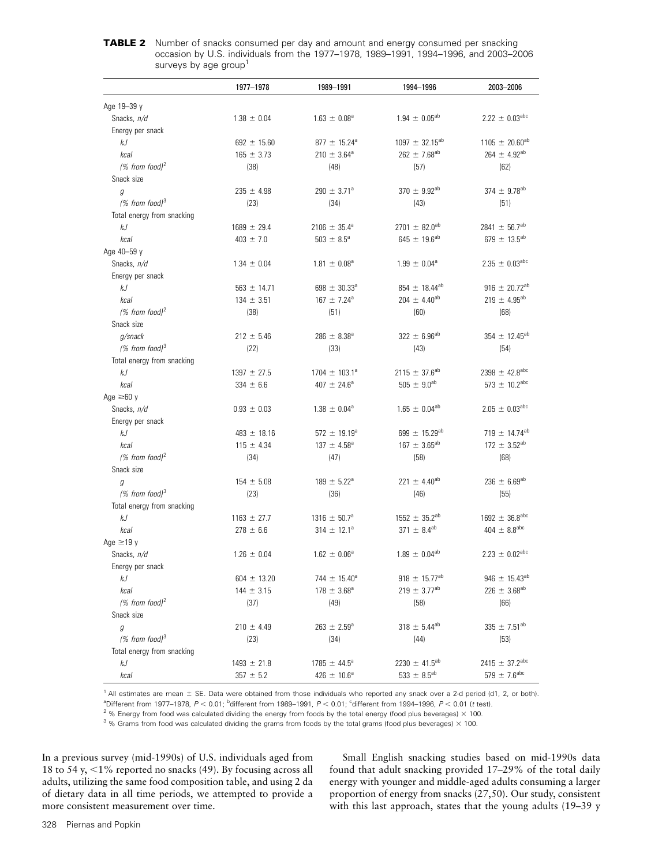|                            | 1977-1978       | 1989-1991                    | 1994-1996                     | 2003-2006                      |
|----------------------------|-----------------|------------------------------|-------------------------------|--------------------------------|
| Age 19-39 y                |                 |                              |                               |                                |
| Snacks, n/d                | $1.38 \pm 0.04$ | $1.63 \pm 0.08^a$            | $1.94 \pm 0.05^{ab}$          | $2.22 \pm 0.03^{\rm abc}$      |
| Energy per snack           |                 |                              |                               |                                |
| kJ                         | 692 $\pm$ 15.60 | $877 \pm 15.24^a$            | $1097 \pm 32.15^{ab}$         | $1105 \pm 20.60^{ab}$          |
| kcal                       | $165 \pm 3.73$  | $210 \pm 3.64^a$             | $262 \pm 7.68^{ab}$           | $264 \pm 4.92^{ab}$            |
| (% from food) <sup>2</sup> | (38)            | (48)                         | (57)                          | (62)                           |
| Snack size                 |                 |                              |                               |                                |
| $\mathfrak{g}$             | $235 \pm 4.98$  | 290 $\pm$ 3.71 <sup>a</sup>  | $370 \pm 9.92^{ab}$           | $374 \pm 9.78^{ab}$            |
| (% from food) $3$          | (23)            | (34)                         | (43)                          | (51)                           |
| Total energy from snacking |                 |                              |                               |                                |
| kJ                         | $1689 \pm 29.4$ | $2106 \pm 35.4^{\circ}$      | 2701 $\pm$ 82.0 <sup>ab</sup> | $2841 \pm 56.7^{ab}$           |
|                            | $403 \pm 7.0$   | $503 \pm 8.5^{\circ}$        | $645 \pm 19.6^{ab}$           | 679 $\pm$ 13.5 <sup>ab</sup>   |
| kcal                       |                 |                              |                               |                                |
| Age 40-59 y                |                 | $1.81 \pm 0.08^a$            | $1.99 \pm 0.04^a$             | $2.35 \pm 0.03^{\text{abc}}$   |
| Snacks, n/d                | $1.34 \pm 0.04$ |                              |                               |                                |
| Energy per snack           |                 |                              |                               |                                |
| kJ                         | $563 \pm 14.71$ | 698 $\pm$ 30.33 <sup>a</sup> | $854 \pm 18.44^{ab}$          | $916 \pm 20.72^{ab}$           |
| kcal                       | $134 \pm 3.51$  | $167 \pm 7.24^a$             | $204 \pm 4.40^{ab}$           | $219 \pm 4.95^{ab}$            |
| (% from food) <sup>2</sup> | (38)            | (51)                         | (60)                          | (68)                           |
| Snack size                 |                 |                              |                               |                                |
| a/snack                    | $212 \pm 5.46$  | $286 \pm 8.38^a$             | $322 \pm 6.96^{ab}$           | $354 \pm 12.45^{ab}$           |
| (% from food) $3$          | (22)            | (33)                         | (43)                          | (54)                           |
| Total energy from snacking |                 |                              |                               |                                |
| kJ                         | $1397 \pm 27.5$ | $1704 \pm 103.1^a$           | $2115 \pm 37.6^{ab}$          | $2398 \pm 42.8$ <sup>abc</sup> |
| kcal                       | $334 \pm 6.6$   | $407 \pm 24.6^a$             | $505 \pm 9.0^{ab}$            | $573 \pm 10.2^{\text{abc}}$    |
| Age $\geq 60$ y            |                 |                              |                               |                                |
| Snacks, n/d                | $0.93 \pm 0.03$ | $1.38 \pm 0.04^a$            | $1.65 \pm 0.04^{ab}$          | $2.05 \pm 0.03^{\text{abc}}$   |
| Energy per snack           |                 |                              |                               |                                |
| kJ                         | 483 $\pm$ 18.16 | $572 \pm 19.19^a$            | 699 $\pm$ 15.29 <sup>ab</sup> | 719 $\pm$ 14.74 <sup>ab</sup>  |
| kcal                       | $115 \pm 4.34$  | $137 \pm 4.58^{\circ}$       | $167 \pm 3.65^{ab}$           | $172 \pm 3.52^{ab}$            |
| (% from food) <sup>2</sup> | (34)            | (47)                         | (58)                          | (68)                           |
| Snack size                 |                 |                              |                               |                                |
| $\mathfrak g$              | $154 \pm 5.08$  | $189 \pm 5.22^a$             | $221 \pm 4.40^{ab}$           | $236 \pm 6.69^{ab}$            |
| (% from food) $3$          | (23)            | (36)                         | (46)                          | (55)                           |
| Total energy from snacking |                 |                              |                               |                                |
| kJ                         | $1163 \pm 27.7$ | $1316 \pm 50.7^{\circ}$      | $1552 \pm 35.2^{ab}$          | $1692 \pm 36.8^{\text{abc}}$   |
| kcal                       | $278 \pm 6.6$   | $314 \pm 12.1^a$             | $371 \pm 8.4^{ab}$            | 404 $\pm 8.8^{\rm abc}$        |
| Age $\geq$ 19 y            |                 |                              |                               |                                |
| Snacks, n/d                | $1.26 \pm 0.04$ | $1.62 \pm 0.06^a$            | $1.89 \pm 0.04^{ab}$          | $2.23 \pm 0.02^{abc}$          |
| Energy per snack           |                 |                              |                               |                                |
| kJ                         | $604 \pm 13.20$ | 744 $\pm$ 15.40 <sup>a</sup> | $918 \pm 15.77^{ab}$          | $946 \pm 15.43^{ab}$           |
| kcal                       | $144 \pm 3.15$  | $178 \pm 3.68^a$             | $219 \pm 3.77^{ab}$           | $226 \pm 3.68^{ab}$            |
| (% from food) $^2$         | (37)            | (49)                         | (58)                          | (66)                           |
| Snack size                 |                 |                              |                               |                                |
| g                          | $210 \pm 4.49$  | $263 \pm 2.59^{\circ}$       | $318 \pm 5.44^{ab}$           | $335 \pm 7.51^{ab}$            |
| (% from food) $3$          | (23)            | (34)                         | (44)                          | (53)                           |
| Total energy from snacking |                 |                              |                               |                                |
| kJ                         | $1493 \pm 21.8$ | $1785 \pm 44.5^a$            | 2230 $\pm$ 41.5 <sup>ab</sup> | $2415 \pm 37.2^{\text{abc}}$   |
| kcal                       | $357 \pm 5.2$   | 426 $\pm$ 10.6 <sup>a</sup>  | $533 \pm 8.5^{ab}$            | $579 \pm 7.6^{\rm abc}$        |

| <b>TABLE 2</b> Number of snacks consumed per day and amount and energy consumed per snacking |
|----------------------------------------------------------------------------------------------|
| occasion by U.S. individuals from the 1977–1978, 1989–1991, 1994–1996, and 2003–2006         |
| surveys by age group'                                                                        |

1 All estimates are mean  $\pm$  SE. Data were obtained from those individuals who reported any snack over a 2-d period (d1, 2, or both). <sup>a</sup>Different from 1977–1978,  $P < 0.01$ ; <sup>b</sup>different from 1989–1991,  $P < 0.01$ ; <sup>c</sup>different from 1994–1996,  $P < 0.01$  (*t* test).

 $2$  % Energy from food was calculated dividing the energy from foods by the total energy (food plus beverages)  $\times$  100.

 $3\%$  Grams from food was calculated dividing the grams from foods by the total grams (food plus beverages)  $\times$  100.

In a previous survey (mid-1990s) of U.S. individuals aged from 18 to 54 y,  $\leq$ 1% reported no snacks (49). By focusing across all adults, utilizing the same food composition table, and using 2 da of dietary data in all time periods, we attempted to provide a more consistent measurement over time.

Small English snacking studies based on mid-1990s data found that adult snacking provided 17–29% of the total daily energy with younger and middle-aged adults consuming a larger proportion of energy from snacks (27,50). Our study, consistent with this last approach, states that the young adults (19–39 y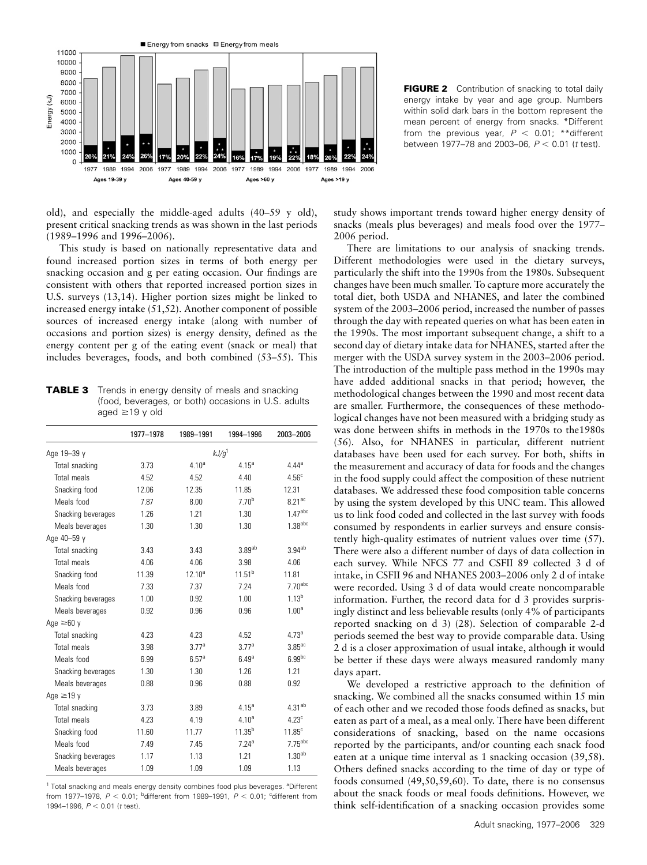

old), and especially the middle-aged adults (40–59 y old), present critical snacking trends as was shown in the last periods (1989–1996 and 1996–2006).

This study is based on nationally representative data and found increased portion sizes in terms of both energy per snacking occasion and g per eating occasion. Our findings are consistent with others that reported increased portion sizes in U.S. surveys (13,14). Higher portion sizes might be linked to increased energy intake (51,52). Another component of possible sources of increased energy intake (along with number of occasions and portion sizes) is energy density, defined as the energy content per g of the eating event (snack or meal) that includes beverages, foods, and both combined (53–55). This

**TABLE 3** Trends in energy density of meals and snacking (food, beverages, or both) occasions in U.S. adults aged  $\geq$ 19 y old

|                    | 1977-1978           | 1989-1991         | 1994-1996            | 2003-2006             |
|--------------------|---------------------|-------------------|----------------------|-----------------------|
| Age 19-39 y        | $kJ/q$ <sup>1</sup> |                   |                      |                       |
| Total snacking     | 3.73                | 4.10 <sup>a</sup> | $4.15^{a}$           | $4.44^a$              |
| Total meals        | 4.52                | 4.52              | 4.40                 | 4.56 <sup>c</sup>     |
| Snacking food      | 12.06               | 12.35             | 11.85                | 12.31                 |
| Meals food         | 7.87                | 8.00              | 7.70 <sup>b</sup>    | $8.21$ <sup>ac</sup>  |
| Snacking beverages | 1.26                | 1.21              | 1.30                 | $1.47$ <sup>abc</sup> |
| Meals beverages    | 1.30                | 1.30              | 1.30                 | 1.38 <sup>abc</sup>   |
| Age 40-59 y        |                     |                   |                      |                       |
| Total snacking     | 3.43                | 3.43              | $3.89$ <sup>ab</sup> | 3.94 <sup>ab</sup>    |
| Total meals        | 4.06                | 4.06              | 3.98                 | 4.06                  |
| Snacking food      | 11.39               | $12.10^a$         | 11.51 <sup>b</sup>   | 11.81                 |
| Meals food         | 7.33                | 7.37              | 7.24                 | 7.70 <sup>abc</sup>   |
| Snacking beverages | 1.00                | 0.92              | 1.00                 | 1.13 <sup>b</sup>     |
| Meals beverages    | 0.92                | 0.96              | 0.96                 | 1.00 <sup>a</sup>     |
| Age $\geq 60$ y    |                     |                   |                      |                       |
| Total snacking     | 4.23                | 4.23              | 4.52                 | 4.73 <sup>a</sup>     |
| Total meals        | 3.98                | 3.77 <sup>a</sup> | 3.77 <sup>a</sup>    | $3.85$ <sup>ac</sup>  |
| Meals food         | 6.99                | 6.57 <sup>a</sup> | 6.49 <sup>a</sup>    | 6.99 <sup>bc</sup>    |
| Snacking beverages | 1.30                | 1.30              | 1.26                 | 1.21                  |
| Meals beverages    | 0.88                | 0.96              | 0.88                 | 0.92                  |
| Age $\geq$ 19 y    |                     |                   |                      |                       |
| Total snacking     | 3.73                | 3.89              | 4.15 <sup>a</sup>    | 4.31 <sup>ab</sup>    |
| <b>Total meals</b> | 4.23                | 4.19              | 4.10 <sup>a</sup>    | 4.23 <sup>c</sup>     |
| Snacking food      | 11.60               | 11.77             | $11.35^{b}$          | 11.85 <sup>c</sup>    |
| Meals food         | 7.49                | 7.45              | 7.24 <sup>a</sup>    | $7.75$ <sup>abc</sup> |
| Snacking beverages | 1.17                | 1.13              | 1.21                 | $1.30^{ab}$           |
| Meals beverages    | 1.09                | 1.09              | 1.09                 | 1.13                  |

<sup>1</sup> Total snacking and meals energy density combines food plus beverages. <sup>a</sup>Different from 1977–1978,  $P <$  0.01; <sup>b</sup>different from 1989–1991,  $P <$  0.01; <sup>c</sup>different from 1994–1996,  $P < 0.01$  (t test).

FIGURE 2 Contribution of snacking to total daily energy intake by year and age group. Numbers within solid dark bars in the bottom represent the mean percent of energy from snacks. \*Different from the previous year,  $P < 0.01$ ; \*\*different between 1977–78 and 2003–06,  $P < 0.01$  (t test).

study shows important trends toward higher energy density of snacks (meals plus beverages) and meals food over the 1977– 2006 period.

There are limitations to our analysis of snacking trends. Different methodologies were used in the dietary surveys, particularly the shift into the 1990s from the 1980s. Subsequent changes have been much smaller. To capture more accurately the total diet, both USDA and NHANES, and later the combined system of the 2003–2006 period, increased the number of passes through the day with repeated queries on what has been eaten in the 1990s. The most important subsequent change, a shift to a second day of dietary intake data for NHANES, started after the merger with the USDA survey system in the 2003–2006 period. The introduction of the multiple pass method in the 1990s may have added additional snacks in that period; however, the methodological changes between the 1990 and most recent data are smaller. Furthermore, the consequences of these methodological changes have not been measured with a bridging study as was done between shifts in methods in the 1970s to the1980s (56). Also, for NHANES in particular, different nutrient databases have been used for each survey. For both, shifts in the measurement and accuracy of data for foods and the changes in the food supply could affect the composition of these nutrient databases. We addressed these food composition table concerns by using the system developed by this UNC team. This allowed us to link food coded and collected in the last survey with foods consumed by respondents in earlier surveys and ensure consistently high-quality estimates of nutrient values over time (57). There were also a different number of days of data collection in each survey. While NFCS 77 and CSFII 89 collected 3 d of intake, in CSFII 96 and NHANES 2003–2006 only 2 d of intake were recorded. Using 3 d of data would create noncomparable information. Further, the record data for d 3 provides surprisingly distinct and less believable results (only 4% of participants reported snacking on d 3) (28). Selection of comparable 2-d periods seemed the best way to provide comparable data. Using 2 d is a closer approximation of usual intake, although it would be better if these days were always measured randomly many days apart.

We developed a restrictive approach to the definition of snacking. We combined all the snacks consumed within 15 min of each other and we recoded those foods defined as snacks, but eaten as part of a meal, as a meal only. There have been different considerations of snacking, based on the name occasions reported by the participants, and/or counting each snack food eaten at a unique time interval as 1 snacking occasion (39,58). Others defined snacks according to the time of day or type of foods consumed (49,50,59,60). To date, there is no consensus about the snack foods or meal foods definitions. However, we think self-identification of a snacking occasion provides some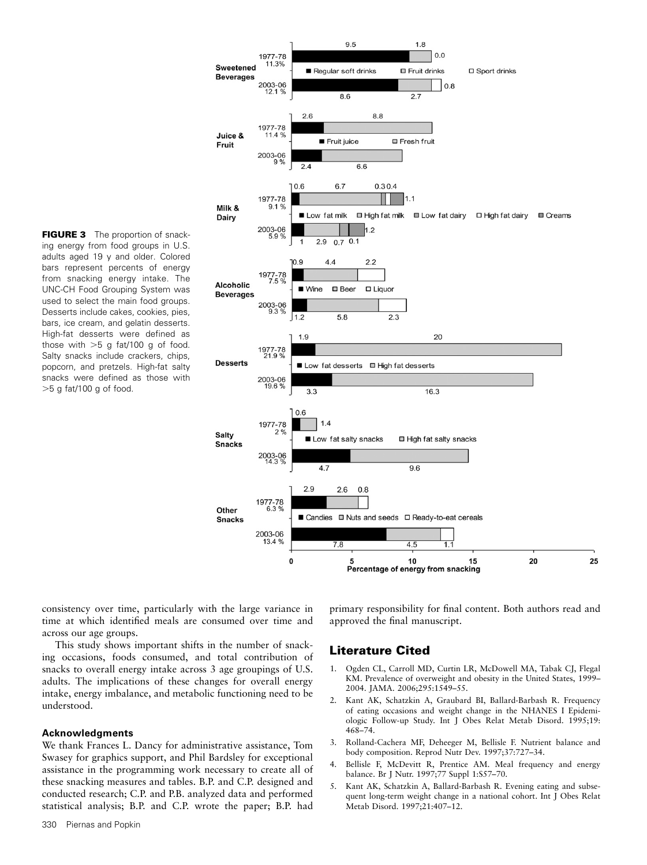



consistency over time, particularly with the large variance in time at which identified meals are consumed over time and across our age groups.

This study shows important shifts in the number of snacking occasions, foods consumed, and total contribution of snacks to overall energy intake across 3 age groupings of U.S. adults. The implications of these changes for overall energy intake, energy imbalance, and metabolic functioning need to be understood.

#### Acknowledgments

We thank Frances L. Dancy for administrative assistance, Tom Swasey for graphics support, and Phil Bardsley for exceptional assistance in the programming work necessary to create all of these snacking measures and tables. B.P. and C.P. designed and conducted research; C.P. and P.B. analyzed data and performed statistical analysis; B.P. and C.P. wrote the paper; B.P. had

primary responsibility for final content. Both authors read and approved the final manuscript.

## Literature Cited

- 1. Ogden CL, Carroll MD, Curtin LR, McDowell MA, Tabak CJ, Flegal KM. Prevalence of overweight and obesity in the United States, 1999– 2004. JAMA. 2006;295:1549–55.
- 2. Kant AK, Schatzkin A, Graubard BI, Ballard-Barbash R. Frequency of eating occasions and weight change in the NHANES I Epidemiologic Follow-up Study. Int J Obes Relat Metab Disord. 1995;19: 468–74.
- 3. Rolland-Cachera MF, Deheeger M, Bellisle F. Nutrient balance and body composition. Reprod Nutr Dev. 1997;37:727–34.
- 4. Bellisle F, McDevitt R, Prentice AM. Meal frequency and energy balance. Br J Nutr. 1997;77 Suppl 1:S57–70.
- 5. Kant AK, Schatzkin A, Ballard-Barbash R. Evening eating and subsequent long-term weight change in a national cohort. Int J Obes Relat Metab Disord. 1997;21:407–12.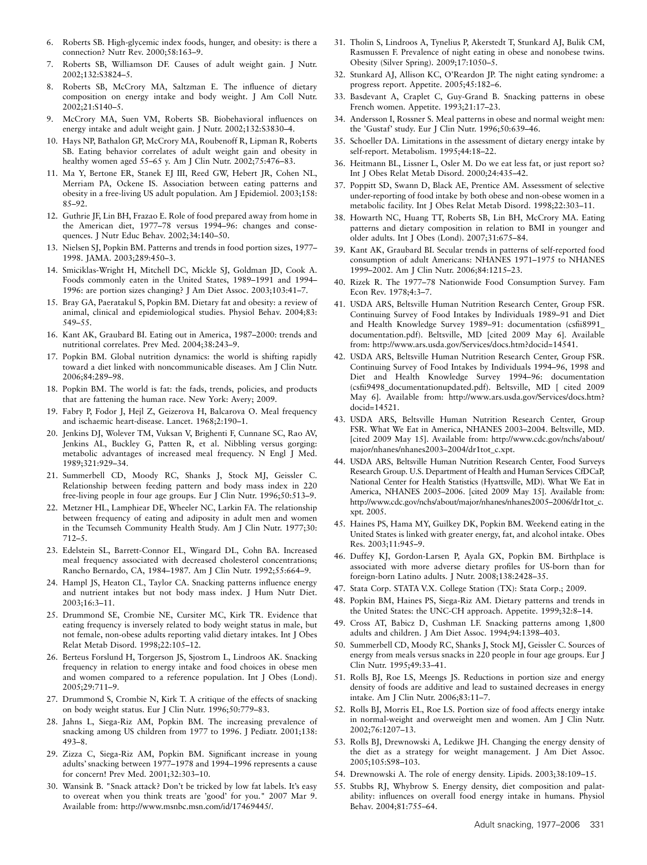- 6. Roberts SB. High-glycemic index foods, hunger, and obesity: is there a connection? Nutr Rev. 2000;58:163–9.
- 7. Roberts SB, Williamson DF. Causes of adult weight gain. J Nutr. 2002;132:S3824–5.
- 8. Roberts SB, McCrory MA, Saltzman E. The influence of dietary composition on energy intake and body weight. J Am Coll Nutr. 2002;21:S140–5.
- 9. McCrory MA, Suen VM, Roberts SB. Biobehavioral influences on energy intake and adult weight gain. J Nutr. 2002;132:S3830–4.
- 10. Hays NP, Bathalon GP, McCrory MA, Roubenoff R, Lipman R, Roberts SB. Eating behavior correlates of adult weight gain and obesity in healthy women aged 55–65 y. Am J Clin Nutr. 2002;75:476–83.
- 11. Ma Y, Bertone ER, Stanek EJ III, Reed GW, Hebert JR, Cohen NL, Merriam PA, Ockene IS. Association between eating patterns and obesity in a free-living US adult population. Am J Epidemiol. 2003;158: 85–92.
- 12. Guthrie JF, Lin BH, Frazao E. Role of food prepared away from home in the American diet, 1977–78 versus 1994–96: changes and consequences. J Nutr Educ Behav. 2002;34:140–50.
- 13. Nielsen SJ, Popkin BM. Patterns and trends in food portion sizes, 1977– 1998. JAMA. 2003;289:450–3.
- 14. Smiciklas-Wright H, Mitchell DC, Mickle SJ, Goldman JD, Cook A. Foods commonly eaten in the United States, 1989–1991 and 1994– 1996: are portion sizes changing? J Am Diet Assoc. 2003;103:41–7.
- 15. Bray GA, Paeratakul S, Popkin BM. Dietary fat and obesity: a review of animal, clinical and epidemiological studies. Physiol Behav. 2004;83: 549–55.
- 16. Kant AK, Graubard BI. Eating out in America, 1987–2000: trends and nutritional correlates. Prev Med. 2004;38:243–9.
- 17. Popkin BM. Global nutrition dynamics: the world is shifting rapidly toward a diet linked with noncommunicable diseases. Am J Clin Nutr. 2006;84:289–98.
- 18. Popkin BM. The world is fat: the fads, trends, policies, and products that are fattening the human race. New York: Avery; 2009.
- 19. Fabry P, Fodor J, Hejl Z, Geizerova H, Balcarova O. Meal frequency and ischaemic heart-disease. Lancet. 1968;2:190–1.
- 20. Jenkins DJ, Wolever TM, Vuksan V, Brighenti F, Cunnane SC, Rao AV, Jenkins AL, Buckley G, Patten R, et al. Nibbling versus gorging: metabolic advantages of increased meal frequency. N Engl J Med. 1989;321:929–34.
- 21. Summerbell CD, Moody RC, Shanks J, Stock MJ, Geissler C. Relationship between feeding pattern and body mass index in 220 free-living people in four age groups. Eur J Clin Nutr. 1996;50:513–9.
- 22. Metzner HL, Lamphiear DE, Wheeler NC, Larkin FA. The relationship between frequency of eating and adiposity in adult men and women in the Tecumseh Community Health Study. Am J Clin Nutr. 1977;30: 712–5.
- 23. Edelstein SL, Barrett-Connor EL, Wingard DL, Cohn BA. Increased meal frequency associated with decreased cholesterol concentrations; Rancho Bernardo, CA, 1984–1987. Am J Clin Nutr. 1992;55:664–9.
- 24. Hampl JS, Heaton CL, Taylor CA. Snacking patterns influence energy and nutrient intakes but not body mass index. J Hum Nutr Diet. 2003;16:3–11.
- 25. Drummond SE, Crombie NE, Cursiter MC, Kirk TR. Evidence that eating frequency is inversely related to body weight status in male, but not female, non-obese adults reporting valid dietary intakes. Int J Obes Relat Metab Disord. 1998;22:105–12.
- 26. Berteus Forslund H, Torgerson JS, Sjostrom L, Lindroos AK. Snacking frequency in relation to energy intake and food choices in obese men and women compared to a reference population. Int J Obes (Lond). 2005;29:711–9.
- 27. Drummond S, Crombie N, Kirk T. A critique of the effects of snacking on body weight status. Eur J Clin Nutr. 1996;50:779–83.
- 28. Jahns L, Siega-Riz AM, Popkin BM. The increasing prevalence of snacking among US children from 1977 to 1996. J Pediatr. 2001;138: 493–8.
- 29. Zizza C, Siega-Riz AM, Popkin BM. Significant increase in young adults' snacking between 1977–1978 and 1994–1996 represents a cause for concern! Prev Med. 2001;32:303–10.
- 30. Wansink B. "Snack attack? Don't be tricked by low fat labels. It's easy to overeat when you think treats are 'good' for you." 2007 Mar 9. Available from: http://www.msnbc.msn.com/id/17469445/.
- 31. Tholin S, Lindroos A, Tynelius P, Akerstedt T, Stunkard AJ, Bulik CM, Rasmussen F. Prevalence of night eating in obese and nonobese twins. Obesity (Silver Spring). 2009;17:1050–5.
- 32. Stunkard AJ, Allison KC, O'Reardon JP. The night eating syndrome: a progress report. Appetite. 2005;45:182–6.
- 33. Basdevant A, Craplet C, Guy-Grand B. Snacking patterns in obese French women. Appetite. 1993;21:17–23.
- 34. Andersson I, Rossner S. Meal patterns in obese and normal weight men: the 'Gustaf' study. Eur J Clin Nutr. 1996;50:639–46.
- 35. Schoeller DA. Limitations in the assessment of dietary energy intake by self-report. Metabolism. 1995;44:18–22.
- 36. Heitmann BL, Lissner L, Osler M. Do we eat less fat, or just report so? Int J Obes Relat Metab Disord. 2000;24:435–42.
- 37. Poppitt SD, Swann D, Black AE, Prentice AM. Assessment of selective under-reporting of food intake by both obese and non-obese women in a metabolic facility. Int J Obes Relat Metab Disord. 1998;22:303–11.
- 38. Howarth NC, Huang TT, Roberts SB, Lin BH, McCrory MA. Eating patterns and dietary composition in relation to BMI in younger and older adults. Int J Obes (Lond). 2007;31:675–84.
- 39. Kant AK, Graubard BI. Secular trends in patterns of self-reported food consumption of adult Americans: NHANES 1971–1975 to NHANES 1999–2002. Am J Clin Nutr. 2006;84:1215–23.
- 40. Rizek R. The 1977–78 Nationwide Food Consumption Survey. Fam Econ Rev. 1978;4:3–7.
- 41. USDA ARS, Beltsville Human Nutrition Research Center, Group FSR. Continuing Survey of Food Intakes by Individuals 1989–91 and Diet and Health Knowledge Survey 1989–91: documentation (csfii8991\_ documentation.pdf). Beltsville, MD [cited 2009 May 6]. Available from: http://www.ars.usda.gov/Services/docs.htm?docid=14541.
- 42. USDA ARS, Beltsville Human Nutrition Research Center, Group FSR. Continuing Survey of Food Intakes by Individuals 1994–96, 1998 and Diet and Health Knowledge Survey 1994–96: documentation (csfii9498\_documentationupdated.pdf). Beltsville, MD [ cited 2009 May 6]. Available from: http://www.ars.usda.gov/Services/docs.htm? docid=14521.
- 43. USDA ARS, Beltsville Human Nutrition Research Center, Group FSR. What We Eat in America, NHANES 2003–2004. Beltsville, MD. [cited 2009 May 15]. Available from: http://www.cdc.gov/nchs/about/ major/nhanes/nhanes2003–2004/dr1tot\_c.xpt.
- 44. USDA ARS, Beltsville Human Nutrition Research Center, Food Surveys Research Group. U.S. Department of Health and Human Services CfDCaP, National Center for Health Statistics (Hyattsville, MD). What We Eat in America, NHANES 2005–2006. [cited 2009 May 15]. Available from: http://www.cdc.gov/nchs/about/major/nhanes/nhanes2005-2006/dr1tot\_c. xpt. 2005.
- 45. Haines PS, Hama MY, Guilkey DK, Popkin BM. Weekend eating in the United States is linked with greater energy, fat, and alcohol intake. Obes Res. 2003;11:945–9.
- 46. Duffey KJ, Gordon-Larsen P, Ayala GX, Popkin BM. Birthplace is associated with more adverse dietary profiles for US-born than for foreign-born Latino adults. J Nutr. 2008;138:2428–35.
- 47. Stata Corp. STATA V.X. College Station (TX): Stata Corp.; 2009.
- 48. Popkin BM, Haines PS, Siega-Riz AM. Dietary patterns and trends in the United States: the UNC-CH approach. Appetite. 1999;32:8–14.
- 49. Cross AT, Babicz D, Cushman LF. Snacking patterns among 1,800 adults and children. J Am Diet Assoc. 1994;94:1398–403.
- 50. Summerbell CD, Moody RC, Shanks J, Stock MJ, Geissler C. Sources of energy from meals versus snacks in 220 people in four age groups. Eur J Clin Nutr. 1995;49:33–41.
- 51. Rolls BJ, Roe LS, Meengs JS. Reductions in portion size and energy density of foods are additive and lead to sustained decreases in energy intake. Am J Clin Nutr. 2006;83:11–7.
- 52. Rolls BJ, Morris EL, Roe LS. Portion size of food affects energy intake in normal-weight and overweight men and women. Am J Clin Nutr. 2002;76:1207–13.
- 53. Rolls BJ, Drewnowski A, Ledikwe JH. Changing the energy density of the diet as a strategy for weight management. J Am Diet Assoc. 2005;105:S98–103.
- 54. Drewnowski A. The role of energy density. Lipids. 2003;38:109–15.
- 55. Stubbs RJ, Whybrow S. Energy density, diet composition and palatability: influences on overall food energy intake in humans. Physiol Behav. 2004;81:755–64.